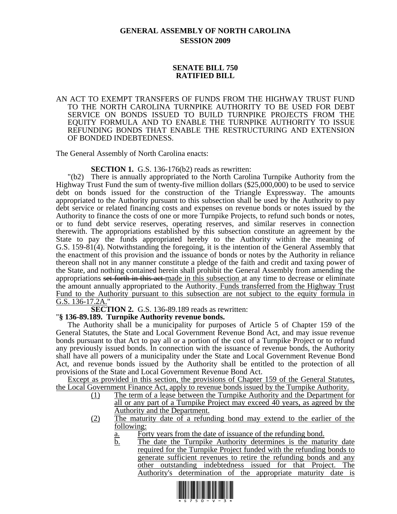## **GENERAL ASSEMBLY OF NORTH CAROLINA SESSION 2009**

## **SENATE BILL 750 RATIFIED BILL**

## AN ACT TO EXEMPT TRANSFERS OF FUNDS FROM THE HIGHWAY TRUST FUND TO THE NORTH CAROLINA TURNPIKE AUTHORITY TO BE USED FOR DEBT SERVICE ON BONDS ISSUED TO BUILD TURNPIKE PROJECTS FROM THE EQUITY FORMULA AND TO ENABLE THE TURNPIKE AUTHORITY TO ISSUE REFUNDING BONDS THAT ENABLE THE RESTRUCTURING AND EXTENSION OF BONDED INDEBTEDNESS.

The General Assembly of North Carolina enacts:

**SECTION 1.** G.S. 136-176(b2) reads as rewritten:

"(b2) There is annually appropriated to the North Carolina Turnpike Authority from the Highway Trust Fund the sum of twenty-five million dollars (\$25,000,000) to be used to service debt on bonds issued for the construction of the Triangle Expressway. The amounts appropriated to the Authority pursuant to this subsection shall be used by the Authority to pay debt service or related financing costs and expenses on revenue bonds or notes issued by the Authority to finance the costs of one or more Turnpike Projects, to refund such bonds or notes, or to fund debt service reserves, operating reserves, and similar reserves in connection therewith. The appropriations established by this subsection constitute an agreement by the State to pay the funds appropriated hereby to the Authority within the meaning of G.S. 159-81(4). Notwithstanding the foregoing, it is the intention of the General Assembly that the enactment of this provision and the issuance of bonds or notes by the Authority in reliance thereon shall not in any manner constitute a pledge of the faith and credit and taxing power of the State, and nothing contained herein shall prohibit the General Assembly from amending the appropriations set forth in this act made in this subsection at any time to decrease or eliminate the amount annually appropriated to the Authority. Funds transferred from the Highway Trust Fund to the Authority pursuant to this subsection are not subject to the equity formula in G.S. 136-17.2A."

**SECTION 2.** G.S. 136-89.189 reads as rewritten: "**§ 136-89.189. Turnpike Authority revenue bonds.** 

The Authority shall be a municipality for purposes of Article 5 of Chapter 159 of the General Statutes, the State and Local Government Revenue Bond Act, and may issue revenue bonds pursuant to that Act to pay all or a portion of the cost of a Turnpike Project or to refund any previously issued bonds. In connection with the issuance of revenue bonds, the Authority shall have all powers of a municipality under the State and Local Government Revenue Bond Act, and revenue bonds issued by the Authority shall be entitled to the protection of all provisions of the State and Local Government Revenue Bond Act.

Except as provided in this section, the provisions of Chapter 159 of the General Statutes, the Local Government Finance Act, apply to revenue bonds issued by the Turnpike Authority.

- (1) The term of a lease between the Turnpike Authority and the Department for all or any part of a Turnpike Project may exceed 40 years, as agreed by the Authority and the Department.
- (2) The maturity date of a refunding bond may extend to the earlier of the following:
	- a. Forty years from the date of issuance of the refunding bond.
	- b. The date the Turnpike Authority determines is the maturity date required for the Turnpike Project funded with the refunding bonds to generate sufficient revenues to retire the refunding bonds and any other outstanding indebtedness issued for that Project. The Authority's determination of the appropriate maturity date is